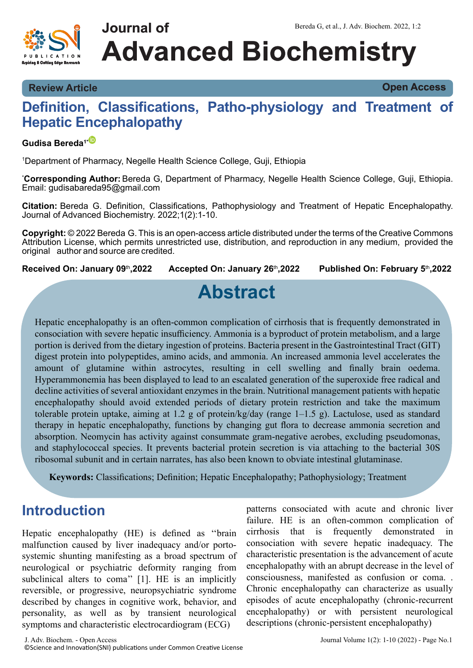

**Review Article Open Access**

### **Definition, Classifications, Patho-physiology and Treatment of Hepatic Encephalopathy**

#### **Gudisa Bereda1[\\*](https://orcid.org/0000-0002-5982-9601)**

<sup>1</sup>Department of Pharmacy, Negelle Health Science College, Guji, Ethiopia

\***Corresponding Author:** Bereda G, Department of Pharmacy, Negelle Health Science College, Guji, Ethiopia. Email: gudisabareda95@gmail.com

**Citation:** Bereda G. Definition, Classifications, Pathophysiology and Treatment of Hepatic Encephalopathy. Journal of Advanced Biochemistry. 2022;1(2):1-10.

**Copyright:** © 2022 Bereda G. This is an open-access article distributed under the terms of the Creative Commons Attribution License, which permits unrestricted use, distribution, and reproduction in any medium, provided the original author and source are credited.

**Received On: January 09**th**,2022 Accepted On: January 26**th**,2022 Published On: February 5**th**,2022**

# **Abstract**

Hepatic encephalopathy is an often-common complication of cirrhosis that is frequently demonstrated in consociation with severe hepatic insufficiency. Ammonia is a byproduct of protein metabolism, and a large portion is derived from the dietary ingestion of proteins. Bacteria present in the Gastrointestinal Tract (GIT) digest protein into polypeptides, amino acids, and ammonia. An increased ammonia level accelerates the amount of glutamine within astrocytes, resulting in cell swelling and finally brain oedema. Hyperammonemia has been displayed to lead to an escalated generation of the superoxide free radical and decline activities of several antioxidant enzymes in the brain. Nutritional management patients with hepatic encephalopathy should avoid extended periods of dietary protein restriction and take the maximum tolerable protein uptake, aiming at 1.2 g of protein/kg/day (range 1–1.5 g). Lactulose, used as standard therapy in hepatic encephalopathy, functions by changing gut flora to decrease ammonia secretion and absorption. Neomycin has activity against consummate gram-negative aerobes, excluding pseudomonas, and staphylococcal species. It prevents bacterial protein secretion is via attaching to the bacterial 30S ribosomal subunit and in certain narrates, has also been known to obviate intestinal glutaminase.

**Keywords:** Classifications; Definition; Hepatic Encephalopathy; Pathophysiology; Treatment

### **Introduction**

Hepatic encephalopathy (HE) is defined as ''brain malfunction caused by liver inadequacy and/or portosystemic shunting manifesting as a broad spectrum of neurological or psychiatric deformity ranging from subclinical alters to coma'' [1]. HE is an implicitly reversible, or progressive, neuropsychiatric syndrome described by changes in cognitive work, behavior, and personality, as well as by transient neurological symptoms and characteristic electrocardiogram (ECG)

patterns consociated with acute and chronic liver failure. HE is an often-common complication of cirrhosis that is frequently demonstrated in consociation with severe hepatic inadequacy. The characteristic presentation is the advancement of acute encephalopathy with an abrupt decrease in the level of consciousness, manifested as confusion or coma. . Chronic encephalopathy can characterize as usually episodes of acute encephalopathy (chronic-recurrent encephalopathy) or with persistent neurological descriptions (chronic-persistent encephalopathy)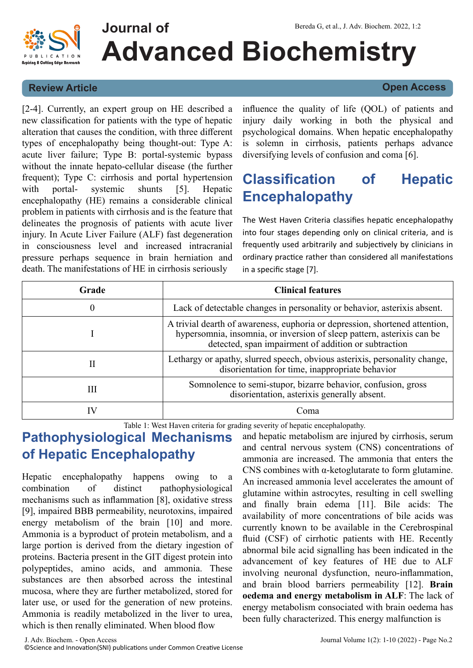

#### **Review Article Open Access**

[2-4]. Currently, an expert group on HE described a new classification for patients with the type of hepatic alteration that causes the condition, with three different types of encephalopathy being thought-out: Type A: acute liver failure; Type B: portal-systemic bypass without the innate hepato-cellular disease (the further frequent); Type C: cirrhosis and portal hypertension with portal- systemic shunts [5]. Hepatic encephalopathy (HE) remains a considerable clinical problem in patients with cirrhosis and is the feature that delineates the prognosis of patients with acute liver injury. In Acute Liver Failure (ALF) fast degeneration in consciousness level and increased intracranial pressure perhaps sequence in brain herniation and death. The manifestations of HE in cirrhosis seriously

influence the quality of life (QOL) of patients and injury daily working in both the physical and psychological domains. When hepatic encephalopathy is solemn in cirrhosis, patients perhaps advance diversifying levels of confusion and coma [6].

## **Classification of Hepatic Encephalopathy**

The West Haven Criteria classifies hepatic encephalopathy into four stages depending only on clinical criteria, and is frequently used arbitrarily and subjectively by clinicians in ordinary practice rather than considered all manifestations in a specific stage [7].

| Grade | <b>Clinical features</b>                                                                                                                                                                                      |
|-------|---------------------------------------------------------------------------------------------------------------------------------------------------------------------------------------------------------------|
| 0     | Lack of detectable changes in personality or behavior, asterixis absent.                                                                                                                                      |
|       | A trivial dearth of awareness, euphoria or depression, shortened attention,<br>hypersomnia, insomnia, or inversion of sleep pattern, asterixis can be<br>detected, span impairment of addition or subtraction |
| п     | Lethargy or apathy, slurred speech, obvious asterixis, personality change,<br>disorientation for time, inappropriate behavior                                                                                 |
| Ш     | Somnolence to semi-stupor, bizarre behavior, confusion, gross<br>disorientation, asterixis generally absent.                                                                                                  |
|       | Coma                                                                                                                                                                                                          |

Table 1: West Haven criteria for grading severity of hepatic encephalopathy.

## **Pathophysiological Mechanisms of Hepatic Encephalopathy**

Hepatic encephalopathy happens owing to combination of distinct pathophysiological mechanisms such as inflammation [8], oxidative stress [9], impaired BBB permeability, neurotoxins, impaired energy metabolism of the brain [10] and more. Ammonia is a byproduct of protein metabolism, and a large portion is derived from the dietary ingestion of proteins. Bacteria present in the GIT digest protein into polypeptides, amino acids, and ammonia. These substances are then absorbed across the intestinal mucosa, where they are further metabolized, stored for later use, or used for the generation of new proteins. Ammonia is readily metabolized in the liver to urea, which is then renally eliminated. When blood flow

and hepatic metabolism are injured by cirrhosis, serum and central nervous system (CNS) concentrations of ammonia are increased. The ammonia that enters the CNS combines with  $\alpha$ -ketoglutarate to form glutamine. An increased ammonia level accelerates the amount of glutamine within astrocytes, resulting in cell swelling and finally brain edema [11]. Bile acids: The availability of more concentrations of bile acids was currently known to be available in the Cerebrospinal fluid (CSF) of cirrhotic patients with HE. Recently abnormal bile acid signalling has been indicated in the advancement of key features of HE due to ALF involving neuronal dysfunction, neuro-inflammation, and brain blood barriers permeability [12]. **Brain oedema and energy metabolism in ALF**: The lack of energy metabolism consociated with brain oedema has been fully characterized. This energy malfunction is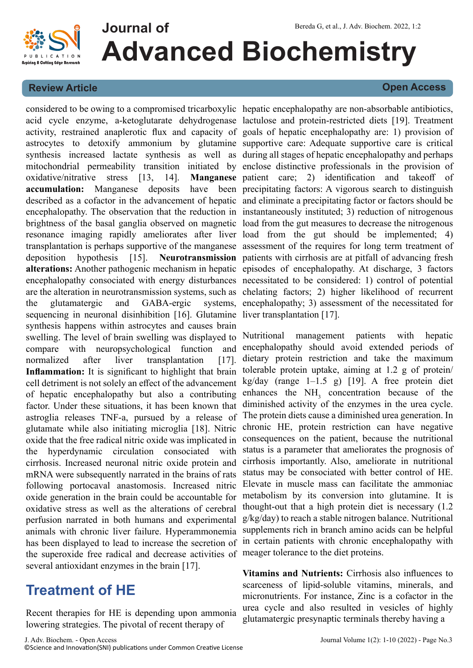

#### **Review Article Open Access**

acid cycle enzyme, a-ketoglutarate dehydrogenase lactulose and protein-restricted diets [19]. Treatment activity, restrained anaplerotic flux and capacity of goals of hepatic encephalopathy are: 1) provision of astrocytes to detoxify ammonium by glutamine supportive care: Adequate supportive care is critical synthesis increased lactate synthesis as well as during all stages of hepatic encephalopathy and perhaps mitochondrial permeability transition initiated by enclose distinctive professionals in the provision of oxidative/nitrative stress [13, 14]. **accumulation:** Manganese deposits described as a cofactor in the advancement of hepatic and eliminate a precipitating factor or factors should be encephalopathy. The observation that the reduction in instantaneously instituted; 3) reduction of nitrogenous brightness of the basal ganglia observed on magnetic load from the gut measures to decrease the nitrogenous resonance imaging rapidly ameliorates after liver load from the gut should be implemented; 4) transplantation is perhaps supportive of the manganese assessment of the requires for long term treatment of deposition hypothesis [15]. **Neurotransmission** patients with cirrhosis are at pitfall of advancing fresh **alterations:** Another pathogenic mechanism in hepatic episodes of encephalopathy. At discharge, 3 factors encephalopathy consociated with energy disturbances necessitated to be considered: 1) control of potential are the alteration in neurotransmission systems, such as chelating factors; 2) higher likelihood of recurrent the glutamatergic and GABA-ergic sequencing in neuronal disinhibition [16]. Glutamine liver transplantation [17]. synthesis happens within astrocytes and causes brain swelling. The level of brain swelling was displayed to Nutritional compare with neuropsychological function and encephalopathy should avoid extended periods of normalized after liver transplantation [17]. Inflammation: It is significant to highlight that brain tolerable protein uptake, aiming at 1.2 g of protein/ cell detriment is not solely an effect of the advancement of hepatic encephalopathy but also a contributing factor. Under these situations, it has been known that astroglia releases TNF-a, pursued by a release of glutamate while also initiating microglia [18]. Nitric oxide that the free radical nitric oxide was implicated in the hyperdynamic circulation consociated with cirrhosis. Increased neuronal nitric oxide protein and mRNA were subsequently narrated in the brains of rats following portocaval anastomosis. Increased nitric oxide generation in the brain could be accountable for oxidative stress as well as the alterations of cerebral perfusion narrated in both humans and experimental animals with chronic liver failure. Hyperammonemia has been displayed to lead to increase the secretion of the superoxide free radical and decrease activities of meager tolerance to the diet proteins. several antioxidant enzymes in the brain [17].

## **Treatment of HE**

Recent therapies for HE is depending upon ammonia lowering strategies. The pivotal of recent therapy of

considered to be owing to a compromised tricarboxylic hepatic encephalopathy are non-absorbable antibiotics, Manganese patient care; 2) identification and takeoff of have been precipitating factors: A vigorous search to distinguish systems, encephalopathy; 3) assessment of the necessitated for

> management patients with hepatic dietary protein restriction and take the maximum kg/day (range 1–1.5 g) [19]. A free protein diet enhances the  $NH<sub>3</sub>$  concentration because of the diminished activity of the enzymes in the urea cycle. The protein diets cause a diminished urea generation. In chronic HE, protein restriction can have negative consequences on the patient, because the nutritional status is a parameter that ameliorates the prognosis of cirrhosis importantly. Also, ameliorate in nutritional status may be consociated with better control of HE. Elevate in muscle mass can facilitate the ammoniac metabolism by its conversion into glutamine. It is thought-out that a high protein diet is necessary (1.2 g/kg/day) to reach a stable nitrogen balance. Nutritional supplements rich in branch amino acids can be helpful in certain patients with chronic encephalopathy with

> **Vitamins and Nutrients:** Cirrhosis also influences to scarceness of lipid-soluble vitamins, minerals, and micronutrients. For instance, Zinc is a cofactor in the urea cycle and also resulted in vesicles of highly glutamatergic presynaptic terminals thereby having a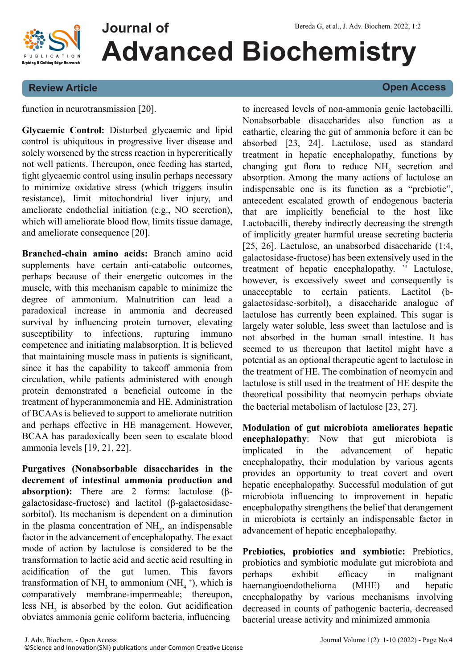

#### **Review Article Open Access**

function in neurotransmission [20].

**Glycaemic Control:** Disturbed glycaemic and lipid control is ubiquitous in progressive liver disease and solely worsened by the stress reaction in hypercritically not well patients. Thereupon, once feeding has started, tight glycaemic control using insulin perhaps necessary to minimize oxidative stress (which triggers insulin resistance), limit mitochondrial liver injury, and ameliorate endothelial initiation (e.g., NO secretion), which will ameliorate blood flow, limits tissue damage, and ameliorate consequence [20].

**Branched-chain amino acids:** Branch amino acid supplements have certain anti-catabolic outcomes, perhaps because of their energetic outcomes in the muscle, with this mechanism capable to minimize the degree of ammonium. Malnutrition can lead a paradoxical increase in ammonia and decreased survival by influencing protein turnover, elevating susceptibility to infections, rupturing immuno competence and initiating malabsorption. It is believed that maintaining muscle mass in patients is significant, since it has the capability to takeoff ammonia from circulation, while patients administered with enough protein demonstrated a beneficial outcome in the treatment of hyperammonemia and HE. Administration of BCAAs is believed to support to ameliorate nutrition and perhaps effective in HE management. However, BCAA has paradoxically been seen to escalate blood ammonia levels [19, 21, 22].

**Purgatives (Nonabsorbable disaccharides in the decrement of intestinal ammonia production and absorption):** There are 2 forms: lactulose (βgalactosidase-fructose) and lactitol (β-galactosidasesorbitol). Its mechanism is dependent on a diminution in the plasma concentration of  $NH<sub>3</sub>$ , an indispensable factor in the advancement of encephalopathy. The exact mode of action by lactulose is considered to be the transformation to lactic acid and acetic acid resulting in acidification of the gut lumen. This favors transformation of  $NH_3$  to ammonium (NH<sub>4</sub><sup>+</sup>), which is comparatively membrane-impermeable; thereupon, less  $NH<sub>3</sub>$  is absorbed by the colon. Gut acidification obviates ammonia genic coliform bacteria, influencing

to increased levels of non-ammonia genic lactobacilli. Nonabsorbable disaccharides also function as a cathartic, clearing the gut of ammonia before it can be absorbed [23, 24]. Lactulose, used as standard treatment in hepatic encephalopathy, functions by changing gut flora to reduce  $NH<sub>3</sub>$  secretion and absorption. Among the many actions of lactulose an indispensable one is its function as a "prebiotic", antecedent escalated growth of endogenous bacteria that are implicitly beneficial to the host like Lactobacilli, thereby indirectly decreasing the strength of implicitly greater harmful urease secreting bacteria [25, 26]. Lactulose, an unabsorbed disaccharide (1:4, galactosidase-fructose) has been extensively used in the treatment of hepatic encephalopathy. `' Lactulose, however, is excessively sweet and consequently is unacceptable to certain patients. Lactitol (bgalactosidase-sorbitol), a disaccharide analogue of lactulose has currently been explained. This sugar is largely water soluble, less sweet than lactulose and is not absorbed in the human small intestine. It has seemed to us thereupon that lactitol might have a potential as an optional therapeutic agent to lactulose in the treatment of HE. The combination of neomycin and lactulose is still used in the treatment of HE despite the theoretical possibility that neomycin perhaps obviate the bacterial metabolism of lactulose [23, 27].

**Modulation of gut microbiota ameliorates hepatic encephalopathy**: Now that gut microbiota is implicated in the advancement of hepatic encephalopathy, their modulation by various agents provides an opportunity to treat covert and overt hepatic encephalopathy. Successful modulation of gut microbiota influencing to improvement in hepatic encephalopathy strengthens the belief that derangement in microbiota is certainly an indispensable factor in advancement of hepatic encephalopathy.

**Prebiotics, probiotics and symbiotic:** Prebiotics, probiotics and symbiotic modulate gut microbiota and perhaps exhibit efficacy in malignant haemangioendothelioma (MHE) and hepatic encephalopathy by various mechanisms involving decreased in counts of pathogenic bacteria, decreased bacterial urease activity and minimized ammonia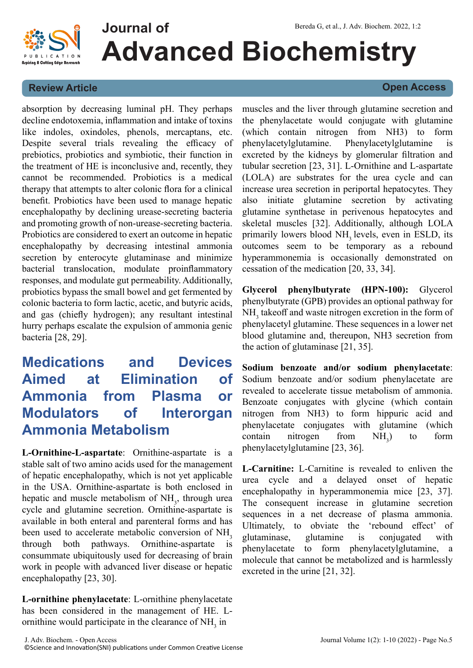

#### **Review Article Open Access**

absorption by decreasing luminal pH. They perhaps decline endotoxemia, inflammation and intake of toxins like indoles, oxindoles, phenols, mercaptans, etc. Despite several trials revealing the efficacy of prebiotics, probiotics and symbiotic, their function in the treatment of HE is inconclusive and, recently, they cannot be recommended. Probiotics is a medical therapy that attempts to alter colonic flora for a clinical benefit. Probiotics have been used to manage hepatic encephalopathy by declining urease-secreting bacteria and promoting growth of non-urease-secreting bacteria. Probiotics are considered to exert an outcome in hepatic encephalopathy by decreasing intestinal ammonia secretion by enterocyte glutaminase and minimize bacterial translocation, modulate proinflammatory responses, and modulate gut permeability. Additionally, probiotics bypass the small bowel and get fermented by colonic bacteria to form lactic, acetic, and butyric acids, and gas (chiefly hydrogen); any resultant intestinal hurry perhaps escalate the expulsion of ammonia genic bacteria [28, 29].

## **Medications and Devices Aimed at Elimination of Ammonia from Plasma or Modulators of Interorgan Ammonia Metabolism**

**L-Ornithine-L-aspartate**: Ornithine-aspartate is a stable salt of two amino acids used for the management of hepatic encephalopathy, which is not yet applicable in the USA. Ornithine-aspartate is both enclosed in hepatic and muscle metabolism of  $NH<sub>3</sub>$ , through urea cycle and glutamine secretion. Ornithine-aspartate is available in both enteral and parenteral forms and has been used to accelerate metabolic conversion of  $NH_3$ <br>through both pathways. Ornithine-aspartate is through both pathways. consummate ubiquitously used for decreasing of brain work in people with advanced liver disease or hepatic encephalopathy [23, 30].

**L-ornithine phenylacetate**: L-ornithine phenylacetate has been considered in the management of HE. Lornithine would participate in the clearance of  $NH<sub>3</sub>$  in

muscles and the liver through glutamine secretion and the phenylacetate would conjugate with glutamine (which contain nitrogen from NH3) to form phenylacetylglutamine. Phenylacetylglutamine is excreted by the kidneys by glomerular filtration and tubular secretion [23, 31]. L-Ornithine and L-aspartate (LOLA) are substrates for the urea cycle and can increase urea secretion in periportal hepatocytes. They also initiate glutamine secretion by activating glutamine synthetase in perivenous hepatocytes and skeletal muscles [32]. Additionally, although LOLA primarily lowers blood  $NH<sub>3</sub>$  levels, even in ESLD, its outcomes seem to be temporary as a rebound hyperammonemia is occasionally demonstrated on cessation of the medication [20, 33, 34].

**Glycerol phenylbutyrate (HPN-100):** Glycerol phenylbutyrate (GPB) provides an optional pathway for NH<sub>3</sub> takeoff and waste nitrogen excretion in the form of phenylacetyl glutamine. These sequences in a lower net blood glutamine and, thereupon, NH3 secretion from the action of glutaminase [21, 35].

**Sodium benzoate and/or sodium phenylacetate**: Sodium benzoate and/or sodium phenylacetate are revealed to accelerate tissue metabolism of ammonia. Benzoate conjugates with glycine (which contain nitrogen from NH3) to form hippuric acid and phenylacetate conjugates with glutamine (which  $\text{contain}$  nitrogen from NH<sub>3</sub>) ) to form phenylacetylglutamine [23, 36].

**L-Carnitine:** L-Carnitine is revealed to enliven the urea cycle and a delayed onset of hepatic encephalopathy in hyperammonemia mice [23, 37]. The consequent increase in glutamine secretion sequences in a net decrease of plasma ammonia. Ultimately, to obviate the 'rebound effect' of glutaminase, glutamine is conjugated with phenylacetate to form phenylacetylglutamine, a molecule that cannot be metabolized and is harmlessly excreted in the urine [21, 32].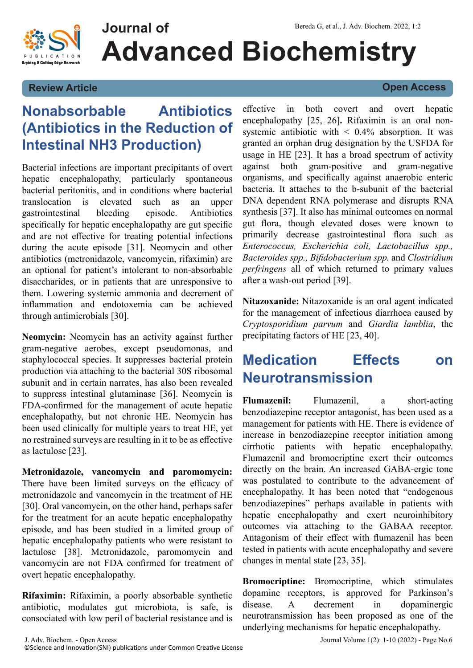

#### **Review Article Open Access**

## **Nonabsorbable Antibiotics (Antibiotics in the Reduction of Intestinal NH3 Production)**

Bacterial infections are important precipitants of overt hepatic encephalopathy, particularly spontaneous bacterial peritonitis, and in conditions where bacterial translocation is elevated such as an upper gastrointestinal bleeding episode. Antibiotics specifically for hepatic encephalopathy are gut specific and are not effective for treating potential infections during the acute episode [31]. Neomycin and other antibiotics (metronidazole, vancomycin, rifaximin) are an optional for patient's intolerant to non-absorbable disaccharides, or in patients that are unresponsive to them. Lowering systemic ammonia and decrement of inflammation and endotoxemia can be achieved through antimicrobials [30].

**Neomycin:** Neomycin has an activity against further gram-negative aerobes, except pseudomonas, and staphylococcal species. It suppresses bacterial protein production via attaching to the bacterial 30S ribosomal subunit and in certain narrates, has also been revealed to suppress intestinal glutaminase [36]. Neomycin is FDA-confirmed for the management of acute hepatic encephalopathy, but not chronic HE. Neomycin has been used clinically for multiple years to treat HE, yet no restrained surveys are resulting in it to be as effective as lactulose [23].

**Metronidazole, vancomycin and paromomycin:** There have been limited surveys on the efficacy of metronidazole and vancomycin in the treatment of HE [30]. Oral vancomycin, on the other hand, perhaps safer for the treatment for an acute hepatic encephalopathy episode, and has been studied in a limited group of hepatic encephalopathy patients who were resistant to lactulose [38]. Metronidazole, paromomycin and vancomycin are not FDA confirmed for treatment of overt hepatic encephalopathy.

**Rifaximin:** Rifaximin, a poorly absorbable synthetic antibiotic, modulates gut microbiota, is safe, is consociated with low peril of bacterial resistance and is

effective in both covert and overt hepatic encephalopathy [25, 26]**.** Rifaximin is an oral nonsystemic antibiotic with  $\leq 0.4\%$  absorption. It was granted an orphan drug designation by the USFDA for usage in HE [23]. It has a broad spectrum of activity against both gram-positive and gram-negative organisms, and specifically against anaerobic enteric bacteria. It attaches to the b-subunit of the bacterial DNA dependent RNA polymerase and disrupts RNA synthesis [37]. It also has minimal outcomes on normal gut flora, though elevated doses were known to primarily decrease gastrointestinal flora such as *Enterococcus, Escherichia coli, Lactobacillus spp., Bacteroides spp., Bifidobacterium spp.* and *Clostridium perfringens* all of which returned to primary values after a wash-out period [39].

**Nitazoxanide:** Nitazoxanide is an oral agent indicated for the management of infectious diarrhoea caused by *Cryptosporidium parvum* and *Giardia lamblia*, the precipitating factors of HE [23, 40].

## **Medication Effects on Neurotransmission**

**Flumazenil:** Flumazenil, a short-acting benzodiazepine receptor antagonist, has been used as a management for patients with HE. There is evidence of increase in benzodiazepine receptor initiation among cirrhotic patients with hepatic encephalopathy. Flumazenil and bromocriptine exert their outcomes directly on the brain. An increased GABA-ergic tone was postulated to contribute to the advancement of encephalopathy. It has been noted that "endogenous benzodiazepines" perhaps available in patients with hepatic encephalopathy and exert neuroinhibitory outcomes via attaching to the GABAA receptor. Antagonism of their effect with flumazenil has been tested in patients with acute encephalopathy and severe changes in mental state [23, 35].

**Bromocriptine:** Bromocriptine, which stimulates dopamine receptors, is approved for Parkinson's disease. A decrement in dopaminergic neurotransmission has been proposed as one of the underlying mechanisms for hepatic encephalopathy.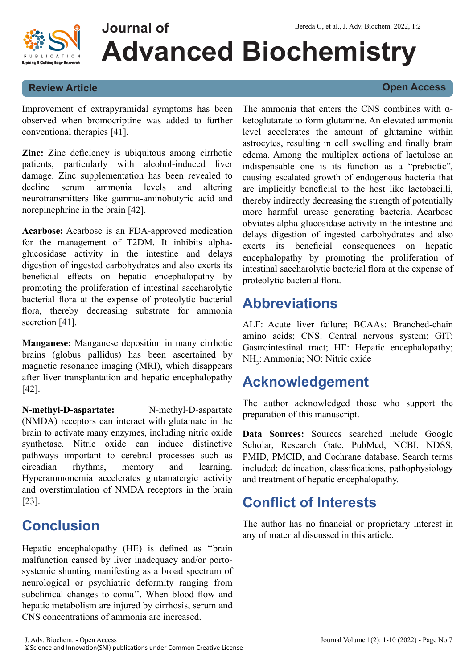



#### **Review Article Open Access**

Improvement of extrapyramidal symptoms has been observed when bromocriptine was added to further conventional therapies [41].

**Zinc:** Zinc deficiency is ubiquitous among cirrhotic patients, particularly with alcohol-induced liver damage. Zinc supplementation has been revealed to decline serum ammonia levels and altering neurotransmitters like gamma-aminobutyric acid and norepinephrine in the brain [42].

**Acarbose:** Acarbose is an FDA-approved medication for the management of T2DM. It inhibits alphaglucosidase activity in the intestine and delays digestion of ingested carbohydrates and also exerts its beneficial effects on hepatic encephalopathy by promoting the proliferation of intestinal saccharolytic bacterial flora at the expense of proteolytic bacterial flora, thereby decreasing substrate for ammonia secretion [41].

**Manganese:** Manganese deposition in many cirrhotic brains (globus pallidus) has been ascertained by magnetic resonance imaging (MRI), which disappears after liver transplantation and hepatic encephalopathy [42].

**N-methyl-D-aspartate:** N-methyl-D-aspartate (NMDA) receptors can interact with glutamate in the brain to activate many enzymes, including nitric oxide synthetase. Nitric oxide can induce distinctive pathways important to cerebral processes such as circadian rhythms, memory and learning. Hyperammonemia accelerates glutamatergic activity and overstimulation of NMDA receptors in the brain [23].

## **Conclusion**

Hepatic encephalopathy (HE) is defined as ''brain malfunction caused by liver inadequacy and/or portosystemic shunting manifesting as a broad spectrum of neurological or psychiatric deformity ranging from subclinical changes to coma''. When blood flow and hepatic metabolism are injured by cirrhosis, serum and CNS concentrations of ammonia are increased.

The ammonia that enters the CNS combines with  $\alpha$ ketoglutarate to form glutamine. An elevated ammonia level accelerates the amount of glutamine within astrocytes, resulting in cell swelling and finally brain edema. Among the multiplex actions of lactulose an indispensable one is its function as a "prebiotic", causing escalated growth of endogenous bacteria that are implicitly beneficial to the host like lactobacilli, thereby indirectly decreasing the strength of potentially more harmful urease generating bacteria. Acarbose obviates alpha-glucosidase activity in the intestine and delays digestion of ingested carbohydrates and also exerts its beneficial consequences on hepatic encephalopathy by promoting the proliferation of intestinal saccharolytic bacterial flora at the expense of proteolytic bacterial flora.

## **Abbreviations**

ALF: Acute liver failure; BCAAs: Branched-chain amino acids; CNS: Central nervous system; GIT: Gastrointestinal tract; HE: Hepatic encephalopathy; NH<sub>3</sub>: Ammonia; NO: Nitric oxide

## **Acknowledgement**

The author acknowledged those who support the preparation of this manuscript.

**Data Sources:** Sources searched include Google Scholar, Research Gate, PubMed, NCBI, NDSS, PMID, PMCID, and Cochrane database. Search terms included: delineation, classifications, pathophysiology and treatment of hepatic encephalopathy.

## **Conflict of Interests**

The author has no financial or proprietary interest in any of material discussed in this article.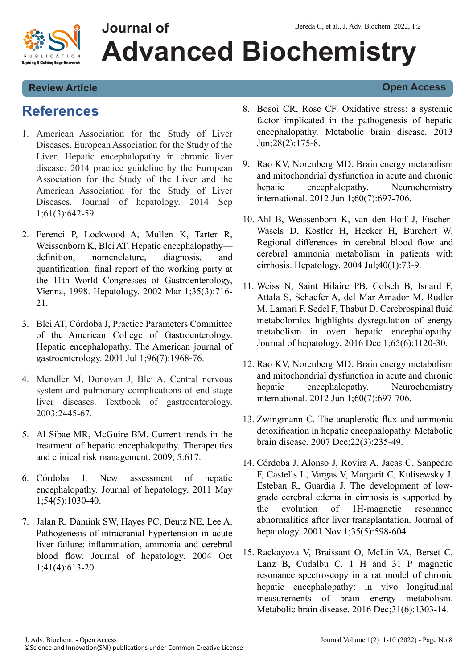

### **Review Article Open Access**

## **References**

- 1. [American Association for the Study of Liver](https://mayoclinic.pure.elsevier.com/en/publications/hepatic-encephalopathy-in-chronic-liver-disease-2014-practice-gui) [Diseases, European Association for the Study of the](https://mayoclinic.pure.elsevier.com/en/publications/hepatic-encephalopathy-in-chronic-liver-disease-2014-practice-gui) [Liver. Hepatic encephalopathy in chronic liver](https://mayoclinic.pure.elsevier.com/en/publications/hepatic-encephalopathy-in-chronic-liver-disease-2014-practice-gui) [disease: 2014 practice guideline by the European](https://mayoclinic.pure.elsevier.com/en/publications/hepatic-encephalopathy-in-chronic-liver-disease-2014-practice-gui) [Association for the Study of the Liver and the](https://mayoclinic.pure.elsevier.com/en/publications/hepatic-encephalopathy-in-chronic-liver-disease-2014-practice-gui) [American Association for the Study of Liver](https://mayoclinic.pure.elsevier.com/en/publications/hepatic-encephalopathy-in-chronic-liver-disease-2014-practice-gui) [Diseases. Journal of hepatology. 2014 Sep](https://mayoclinic.pure.elsevier.com/en/publications/hepatic-encephalopathy-in-chronic-liver-disease-2014-practice-gui) [1;61\(3\):642-59.](https://mayoclinic.pure.elsevier.com/en/publications/hepatic-encephalopathy-in-chronic-liver-disease-2014-practice-gui)
- 2. [Ferenci P, Lockwood A, Mullen K, Tarter R,](https://www.sciencedirect.com/science/article/pii/S027091390269620X) [Weissenborn K, Blei AT. Hepatic encephalopathy](https://www.sciencedirect.com/science/article/pii/S027091390269620X) [definition, nomenclature, diagnosis, and](https://www.sciencedirect.com/science/article/pii/S027091390269620X) [quantification: final report of the working party at](https://www.sciencedirect.com/science/article/pii/S027091390269620X) [the 11th World Congresses of Gastroenterology,](https://www.sciencedirect.com/science/article/pii/S027091390269620X) [Vienna, 1998. Hepatology. 2002 Mar 1;35\(3\):716-](https://www.sciencedirect.com/science/article/pii/S027091390269620X) [21.](https://www.sciencedirect.com/science/article/pii/S027091390269620X)
- 3. [Blei AT, Córdoba J, Practice Parameters Committee](https://www.sciencedirect.com/science/article/pii/S0002927001025278) [of the American College of Gastroenterology.](https://www.sciencedirect.com/science/article/pii/S0002927001025278) [Hepatic encephalopathy. The American journal of](https://www.sciencedirect.com/science/article/pii/S0002927001025278) [gastroenterology. 2001 Jul 1;96\(7\):1968-76.](https://www.sciencedirect.com/science/article/pii/S0002927001025278)
- 4. Mendler M, Donovan J, Blei A. Central nervous system and pulmonary complications of end-stage liver diseases. Textbook of gastroenterology. 2003:2445-67.
- 5. [Al Sibae MR, McGuire BM. Current trends in the](https://www.ncbi.nlm.nih.gov/pmc/articles/PMC2724191/) [treatment of hepatic encephalopathy. Therapeutics](https://www.ncbi.nlm.nih.gov/pmc/articles/PMC2724191/) [and clinical risk management. 2009; 5:617.](https://www.ncbi.nlm.nih.gov/pmc/articles/PMC2724191/)
- 6. [Córdoba J. New assessment of hepatic](https://www.sciencedirect.com/science/article/pii/S0168827810011025) [encephalopathy. Journal of hepatology. 2011 May](https://www.sciencedirect.com/science/article/pii/S0168827810011025) [1;54\(5\):1030-40.](https://www.sciencedirect.com/science/article/pii/S0168827810011025)
- 7. [Jalan R, Damink SW, Hayes PC, Deutz NE, Lee A.](https://www.sciencedirect.com/science/article/pii/S0168827804002648) [Pathogenesis of intracranial hypertension in acute](https://www.sciencedirect.com/science/article/pii/S0168827804002648) [liver failure: inflammation, ammonia and cerebral](https://www.sciencedirect.com/science/article/pii/S0168827804002648) [blood flow. Journal of hepatology. 2004 Oct](https://www.sciencedirect.com/science/article/pii/S0168827804002648) [1;41\(4\):613-20.](https://www.sciencedirect.com/science/article/pii/S0168827804002648)
- 8. [Bosoi CR, Rose CF. Oxidative stress: a systemic](https://link.springer.com/article/10.1007/s11011-012-9351-5) [factor implicated in the pathogenesis of hepatic](https://link.springer.com/article/10.1007/s11011-012-9351-5) [encephalopathy. Metabolic brain disease. 2013](https://link.springer.com/article/10.1007/s11011-012-9351-5) [Jun;28\(2\):175-8.](https://link.springer.com/article/10.1007/s11011-012-9351-5)
- 9. [Rao KV, Norenberg MD. Brain energy metabolism](https://www.sciencedirect.com/science/article/pii/S0197018611003263) [and mitochondrial dysfunction in acute and chronic](https://www.sciencedirect.com/science/article/pii/S0197018611003263) [hepatic encephalopathy. Neurochemistry](https://www.sciencedirect.com/science/article/pii/S0197018611003263) [international. 2012 Jun 1;60\(7\):697-706.](https://www.sciencedirect.com/science/article/pii/S0197018611003263)
- 10. [Ahl B, Weissenborn K, van den Hoff J, Fischer‐](https://aasldpubs.onlinelibrary.wiley.com/doi/abs/10.1002/hep.20290) [Wasels D, Köstler H, Hecker H, Burchert W.](https://aasldpubs.onlinelibrary.wiley.com/doi/abs/10.1002/hep.20290) [Regional differences in cerebral blood flow and](https://aasldpubs.onlinelibrary.wiley.com/doi/abs/10.1002/hep.20290) [cerebral ammonia metabolism in patients with](https://aasldpubs.onlinelibrary.wiley.com/doi/abs/10.1002/hep.20290) [cirrhosis. Hepatology. 2004 Jul;40\(1\):73-9.](https://aasldpubs.onlinelibrary.wiley.com/doi/abs/10.1002/hep.20290)
- 11. [Weiss N, Saint Hilaire PB, Colsch B, Isnard F,](https://www.sciencedirect.com/science/article/pii/S0168827816304226) [Attala S, Schaefer A, del Mar Amador M, Rudler](https://www.sciencedirect.com/science/article/pii/S0168827816304226) [M, Lamari F, Sedel F, Thabut D. Cerebrospinal fluid](https://www.sciencedirect.com/science/article/pii/S0168827816304226) [metabolomics highlights dysregulation of energy](https://www.sciencedirect.com/science/article/pii/S0168827816304226) [metabolism in overt hepatic encephalopathy.](https://www.sciencedirect.com/science/article/pii/S0168827816304226) [Journal of hepatology. 2016 Dec 1;65\(6\):1120-30.](https://www.sciencedirect.com/science/article/pii/S0168827816304226)
- 12. [Rao KV, Norenberg MD. Brain energy metabolism](https://link.springer.com/article/10.1007/s11011-007-9069-y) [and mitochondrial dysfunction in acute and chronic](https://link.springer.com/article/10.1007/s11011-007-9069-y) [hepatic encephalopathy. Neurochemistry](https://link.springer.com/article/10.1007/s11011-007-9069-y) [international. 2012 Jun 1;60\(7\):697-706.](https://link.springer.com/article/10.1007/s11011-007-9069-y)
- 13. [Zwingmann C. The anaplerotic flux and ammonia](https://www.sciencedirect.com/science/article/pii/S0168827801001817) [detoxification in hepatic encephalopathy. Metabolic](https://www.sciencedirect.com/science/article/pii/S0168827801001817) [brain disease. 2007 Dec;22\(3\):235-49.](https://www.sciencedirect.com/science/article/pii/S0168827801001817)
- 14. [Córdoba J, Alonso J, Rovira A, Jacas C, Sanpedro](https://link.springer.com/article/10.1007/s11011-015-9715-8) [F, Castells L, Vargas V, Margarit C, Kulisewsky J,](https://link.springer.com/article/10.1007/s11011-015-9715-8) [Esteban R, Guardia J. The development of low](https://link.springer.com/article/10.1007/s11011-015-9715-8)[grade cerebral edema in cirrhosis is supported by](https://link.springer.com/article/10.1007/s11011-015-9715-8) [the evolution of 1H-magnetic resonance](https://link.springer.com/article/10.1007/s11011-015-9715-8) [abnormalities after liver transplantation. Journal of](https://link.springer.com/article/10.1007/s11011-015-9715-8) [hepatology. 2001 Nov 1;35\(5\):598-604.](https://link.springer.com/article/10.1007/s11011-015-9715-8)
- 15. [Rackayova V, Braissant O, McLin VA, Berset C,](https://www.sciencedirect.com/science/article/pii/S0168827801001817) [Lanz B, Cudalbu C. 1 H and 31 P magnetic](https://www.sciencedirect.com/science/article/pii/S0168827801001817) [resonance spectroscopy in a rat model of chronic](https://www.sciencedirect.com/science/article/pii/S0168827801001817) [hepatic encephalopathy: in vivo longitudinal](https://www.sciencedirect.com/science/article/pii/S0168827801001817) [measurements of brain energy metabolism.](https://www.sciencedirect.com/science/article/pii/S0168827801001817) [Metabolic brain disease. 2016 Dec;31\(6\):1303-14.](https://www.sciencedirect.com/science/article/pii/S0168827801001817)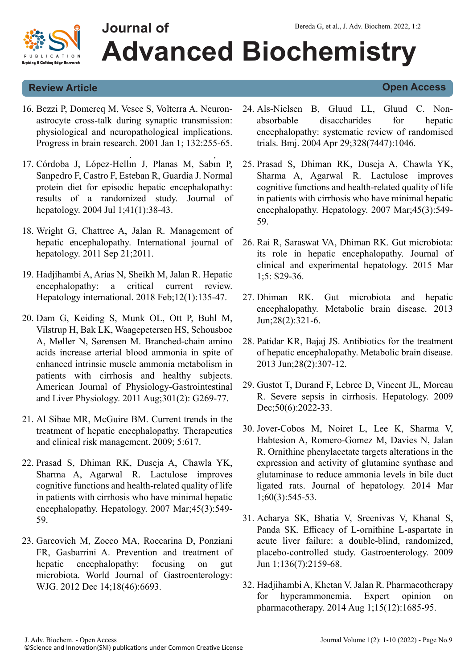

#### **Review Article Open Access**

- 16. [Bezzi P, Domercq M, Vesce S, Volterra A. Neuron](https://www.sciencedirect.com/science/article/pii/S0079612301320812)[astrocyte cross-talk during synaptic transmission:](https://www.sciencedirect.com/science/article/pii/S0079612301320812) [physiological and neuropathological implications.](https://www.sciencedirect.com/science/article/pii/S0079612301320812) [Progress in brain research. 2001 Jan 1; 132:255-65.](https://www.sciencedirect.com/science/article/pii/S0079612301320812)
- 17. Córdoba J, López-Hellin J, Planas M, Sabin P, [Sanpedro F, Castro F, Esteban R, Guardia J. Normal](https://www.sciencedirect.com/science/article/pii/S0168827804001606) [protein diet for episodic hepatic encephalopathy:](https://www.sciencedirect.com/science/article/pii/S0168827804001606) [results of a randomized study. Journal of](https://www.sciencedirect.com/science/article/pii/S0168827804001606) [hepatology. 2004 Jul 1;41\(1\):38-43.](https://www.sciencedirect.com/science/article/pii/S0168827804001606)
- 18. [Wright G, Chattree A, Jalan R. Management of](https://www.hindawi.com/journals/ijhep/2011/841407/abs/) [hepatic encephalopathy. International journal of](https://www.hindawi.com/journals/ijhep/2011/841407/abs/) [hepatology. 2011 Sep 21;2011.](https://www.hindawi.com/journals/ijhep/2011/841407/abs/)
- 19. [Hadjihambi A, Arias N, Sheikh M, Jalan R. Hepatic](https://link.springer.com/article/10.1007/s12072-017-9812-3) [encephalopathy: a critical current review.](https://link.springer.com/article/10.1007/s12072-017-9812-3) [Hepatology international. 2018 Feb;12\(1\):135-47.](https://link.springer.com/article/10.1007/s12072-017-9812-3)
- 20. [Dam G, Keiding S, Munk OL, Ott P, Buhl M,](https://journals.physiology.org/doi/abs/10.1152/ajpgi.00062.2011) [Vilstrup H, Bak LK, Waagepetersen HS, Schousboe](https://journals.physiology.org/doi/abs/10.1152/ajpgi.00062.2011) [A, Møller N, Sørensen M. Branched-chain amino](https://journals.physiology.org/doi/abs/10.1152/ajpgi.00062.2011) [acids increase arterial blood ammonia in spite of](https://journals.physiology.org/doi/abs/10.1152/ajpgi.00062.2011) [enhanced intrinsic muscle ammonia metabolism in](https://journals.physiology.org/doi/abs/10.1152/ajpgi.00062.2011) [patients with cirrhosis and healthy subjects.](https://journals.physiology.org/doi/abs/10.1152/ajpgi.00062.2011) [American Journal of Physiology-Gastrointestinal](https://journals.physiology.org/doi/abs/10.1152/ajpgi.00062.2011) [and Liver Physiology. 2011 Aug;301\(2\): G269-77.](https://journals.physiology.org/doi/abs/10.1152/ajpgi.00062.2011)
- 21. [Al Sibae MR, McGuire BM. Current trends in the](https://www.ncbi.nlm.nih.gov/pmc/articles/PMC2724191/) [treatment of hepatic encephalopathy. Therapeutics](https://www.ncbi.nlm.nih.gov/pmc/articles/PMC2724191/) [and clinical risk management. 2009; 5:617.](https://www.ncbi.nlm.nih.gov/pmc/articles/PMC2724191/)
- 22. [Prasad S, Dhiman RK, Duseja A, Chawla YK,](https://aasldpubs.onlinelibrary.wiley.com/doi/abs/10.1002/hep.21533) [Sharma A, Agarwal R. Lactulose improves](https://aasldpubs.onlinelibrary.wiley.com/doi/abs/10.1002/hep.21533) [cognitive functions and health‐related quality of life](https://aasldpubs.onlinelibrary.wiley.com/doi/abs/10.1002/hep.21533) [in patients with cirrhosis who have minimal hepatic](https://aasldpubs.onlinelibrary.wiley.com/doi/abs/10.1002/hep.21533) [encephalopathy. Hepatology. 2007 Mar;45\(3\):549-](https://aasldpubs.onlinelibrary.wiley.com/doi/abs/10.1002/hep.21533) [59.](https://aasldpubs.onlinelibrary.wiley.com/doi/abs/10.1002/hep.21533)
- 23. [Garcovich M, Zocco MA, Roccarina D, Ponziani](https://www.ncbi.nlm.nih.gov/pmc/articles/PMC3520156/) [FR, Gasbarrini A. Prevention and treatment of](https://www.ncbi.nlm.nih.gov/pmc/articles/PMC3520156/) [hepatic encephalopathy: focusing on gut](https://www.ncbi.nlm.nih.gov/pmc/articles/PMC3520156/) [microbiota. World Journal of Gastroenterology:](https://www.ncbi.nlm.nih.gov/pmc/articles/PMC3520156/) [WJG. 2012 Dec 14;18\(46\):6693.](https://www.ncbi.nlm.nih.gov/pmc/articles/PMC3520156/)
- 24. [Als-Nielsen B, Gluud LL, Gluud C. Non](https://www.bmj.com/content/328/7447/1046.full-text)[absorbable disaccharides for hepatic](https://www.bmj.com/content/328/7447/1046.full-text) [encephalopathy: systematic review of randomised](https://www.bmj.com/content/328/7447/1046.full-text) [trials. Bmj. 2004 Apr 29;328\(7447\):1046.](https://www.bmj.com/content/328/7447/1046.full-text)
- 25. [Prasad S, Dhiman RK, Duseja A, Chawla YK,](https://aasldpubs.onlinelibrary.wiley.com/doi/abs/10.1002/hep.21533) [Sharma A, Agarwal R. Lactulose improves](https://aasldpubs.onlinelibrary.wiley.com/doi/abs/10.1002/hep.21533) [cognitive functions and health‐related quality of life](https://aasldpubs.onlinelibrary.wiley.com/doi/abs/10.1002/hep.21533) [in patients with cirrhosis who have minimal hepatic](https://aasldpubs.onlinelibrary.wiley.com/doi/abs/10.1002/hep.21533) [encephalopathy. Hepatology. 2007 Mar;45\(3\):549-](https://aasldpubs.onlinelibrary.wiley.com/doi/abs/10.1002/hep.21533) [59.](https://aasldpubs.onlinelibrary.wiley.com/doi/abs/10.1002/hep.21533)
- 26. [Rai R, Saraswat VA, Dhiman RK. Gut microbiota:](https://www.sciencedirect.com/science/article/pii/S0973688314004319) [its role in hepatic encephalopathy. Journal of](https://www.sciencedirect.com/science/article/pii/S0973688314004319) [clinical and experimental hepatology. 2015 Mar](https://www.sciencedirect.com/science/article/pii/S0973688314004319) [1;5: S29-36.](https://www.sciencedirect.com/science/article/pii/S0973688314004319)
- 27. [Dhiman RK. Gut microbiota and hepatic](https://link.springer.com/article/10.1007/s11011-013-9388-0) [encephalopathy. Metabolic brain disease. 2013](https://link.springer.com/article/10.1007/s11011-013-9388-0) [Jun;28\(2\):321-6.](https://link.springer.com/article/10.1007/s11011-013-9388-0)
- 28. [Patidar KR, Bajaj JS. Antibiotics for the treatment](https://link.springer.com/article/10.1007/s11011-013-9383-5) [of hepatic encephalopathy. Metabolic brain disease.](https://link.springer.com/article/10.1007/s11011-013-9383-5) [2013 Jun;28\(2\):307-12.](https://link.springer.com/article/10.1007/s11011-013-9383-5)
- 29. [Gustot T, Durand F, Lebrec D, Vincent JL, Moreau](https://aasldpubs.onlinelibrary.wiley.com/doi/abs/10.1002/hep.23264) [R. Severe sepsis in cirrhosis. Hepatology. 2009](https://aasldpubs.onlinelibrary.wiley.com/doi/abs/10.1002/hep.23264) [Dec;50\(6\):2022-33.](https://aasldpubs.onlinelibrary.wiley.com/doi/abs/10.1002/hep.23264)
- 30. [Jover-Cobos M, Noiret L, Lee K, Sharma V,](https://www.sciencedirect.com/science/article/pii/S016882781300737X) [Habtesion A, Romero-Gomez M, Davies N, Jalan](https://www.sciencedirect.com/science/article/pii/S016882781300737X) [R. Ornithine phenylacetate targets alterations in the](https://www.sciencedirect.com/science/article/pii/S016882781300737X) [expression and activity of glutamine synthase and](https://www.sciencedirect.com/science/article/pii/S016882781300737X) [glutaminase to reduce ammonia levels in bile duct](https://www.sciencedirect.com/science/article/pii/S016882781300737X) [ligated rats. Journal of hepatology. 2014 Mar](https://www.sciencedirect.com/science/article/pii/S016882781300737X) [1;60\(3\):545-53.](https://www.sciencedirect.com/science/article/pii/S016882781300737X)
- 31. [Acharya SK, Bhatia V, Sreenivas V, Khanal S,](https://www.sciencedirect.com/science/article/pii/S0016508509002947) [Panda SK. Efficacy of L-ornithine L-aspartate in](https://www.sciencedirect.com/science/article/pii/S0016508509002947) [acute liver failure: a double-blind, randomized,](https://www.sciencedirect.com/science/article/pii/S0016508509002947) [placebo-controlled study. Gastroenterology. 2009](https://www.sciencedirect.com/science/article/pii/S0016508509002947) [Jun 1;136\(7\):2159-68.](https://www.sciencedirect.com/science/article/pii/S0016508509002947)
- 32. [Hadjihambi A, Khetan V, Jalan R. Pharmacotherapy](https://www.tandfonline.com/doi/abs/10.1517/14656566.2014.931372) [for hyperammonemia. Expert opinion on](https://www.tandfonline.com/doi/abs/10.1517/14656566.2014.931372) [pharmacotherapy. 2014 Aug 1;15\(12\):1685-95.](https://www.tandfonline.com/doi/abs/10.1517/14656566.2014.931372)